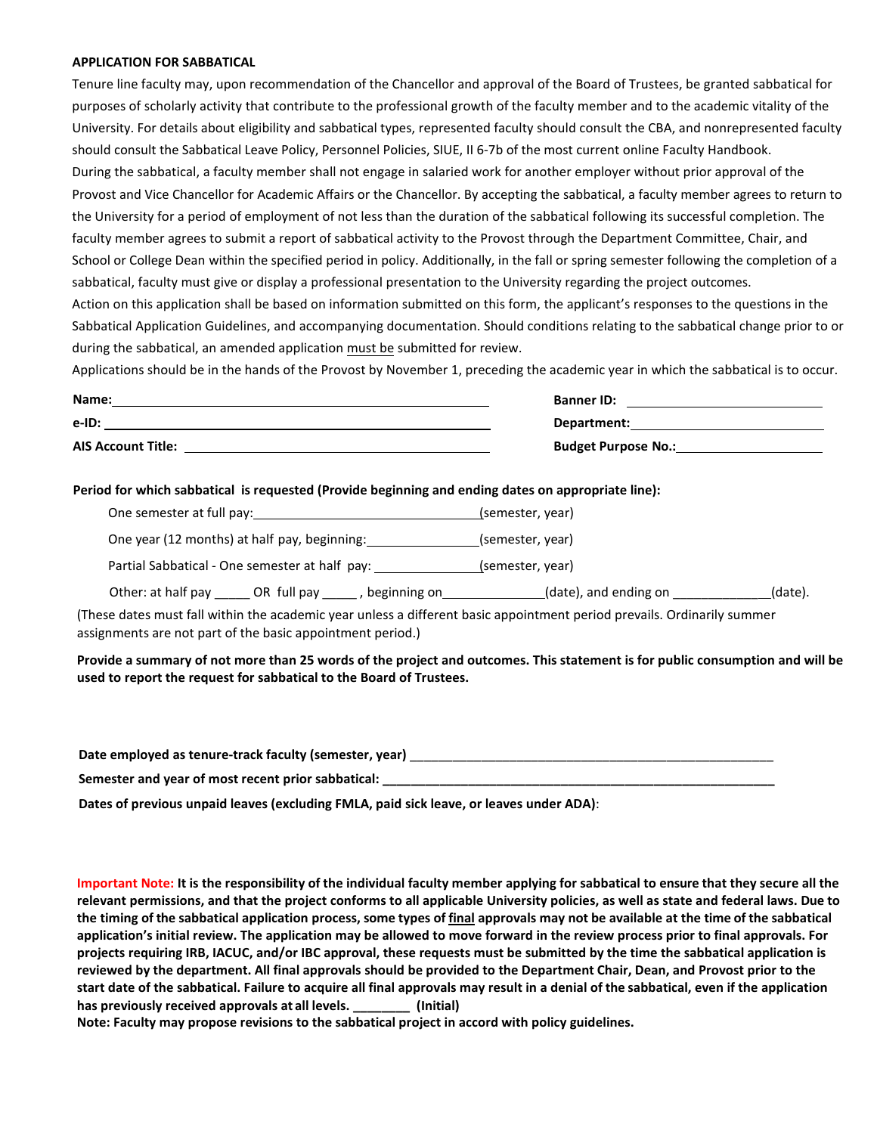## **APPLICATION FOR SABBATICAL**

Tenure line faculty may, upon recommendation of the Chancellor and approval of the Board of Trustees, be granted sabbatical for purposes of scholarly activity that contribute to the professional growth of the faculty member and to the academic vitality of the University. For details about eligibility and sabbatical types, represented faculty should consult the CBA, and nonrepresented faculty should consult the Sabbatical Leave Policy, Personnel Policies, SIUE, II 6-7b of the most current online Faculty Handbook. During the sabbatical, a faculty member shall not engage in salaried work for another employer without prior approval of the Provost and Vice Chancellor for Academic Affairs or the Chancellor. By accepting the sabbatical, a faculty member agrees to return to the University for a period of employment of not less than the duration of the sabbatical following its successful completion. The faculty member agrees to submit a report of sabbatical activity to the Provost through the Department Committee, Chair, and School or College Dean within the specified period in policy. Additionally, in the fall or spring semester following the completion of a sabbatical, faculty must give or display a professional presentation to the University regarding the project outcomes.

Action on this application shall be based on information submitted on this form, the applicant's responses to the questions in the Sabbatical Application Guidelines, and accompanying documentation. Should conditions relating to the sabbatical change prior to or during the sabbatical, an amended application must be submitted for review.

Applications should be in the hands of the Provost by November 1, preceding the academic year in which the sabbatical is to occur.

| Name:                     | <b>Banner ID:</b>          |
|---------------------------|----------------------------|
| e-ID:                     | Department:                |
| <b>AIS Account Title:</b> | <b>Budget Purpose No.:</b> |

## **Period for which sabbatical is requested (Provide beginning and ending dates on appropriate line):**

| One semester at full pay:                                                                                               | (semester, year)                 |
|-------------------------------------------------------------------------------------------------------------------------|----------------------------------|
| One year (12 months) at half pay, beginning:                                                                            | (semester, year)                 |
| Partial Sabbatical - One semester at half pay:                                                                          | (semester, year)                 |
| Other: at half pay _______ OR full pay ______, beginning on                                                             | (date), and ending on<br>(date). |
| (These dates must fall within the academic year unless a different basic appointment period prevails. Ordinarily summer |                                  |

assignments are not part of the basic appointment period.)

**Provide a summary of not more than 25 words of the project and outcomes. This statement is for public consumption and will be used to report the request for sabbatical to the Board of Trustees.** 

| Date employed as tenure-track faculty (semester, year) |  |
|--------------------------------------------------------|--|
| Semester and year of most recent prior sabbatical:     |  |

**Dates of previous unpaid leaves (excluding FMLA, paid sick leave, or leaves under ADA)**:

**Important Note: It is the responsibility of the individual faculty member applying for sabbatical to ensure that they secure all the relevant permissions, and that the project conforms to all applicable University policies, as well as state and federal laws. Due to the timing of the sabbatical application process, some types of final approvals may not be available at the time of the sabbatical application's initial review. The application may be allowed to move forward in the review process prior to final approvals. For projects requiring IRB, IACUC, and/or IBC approval, these requests must be submitted by the time the sabbatical application is reviewed by the department. All final approvals should be provided to the Department Chair, Dean, and Provost prior to the start date of the sabbatical. Failure to acquire all final approvals may result in a denial of the sabbatical, even if the application has previously received approvals at all levels. \_\_\_\_\_\_\_\_ (Initial)** 

**Note: Faculty may propose revisions to the sabbatical project in accord with policy guidelines.**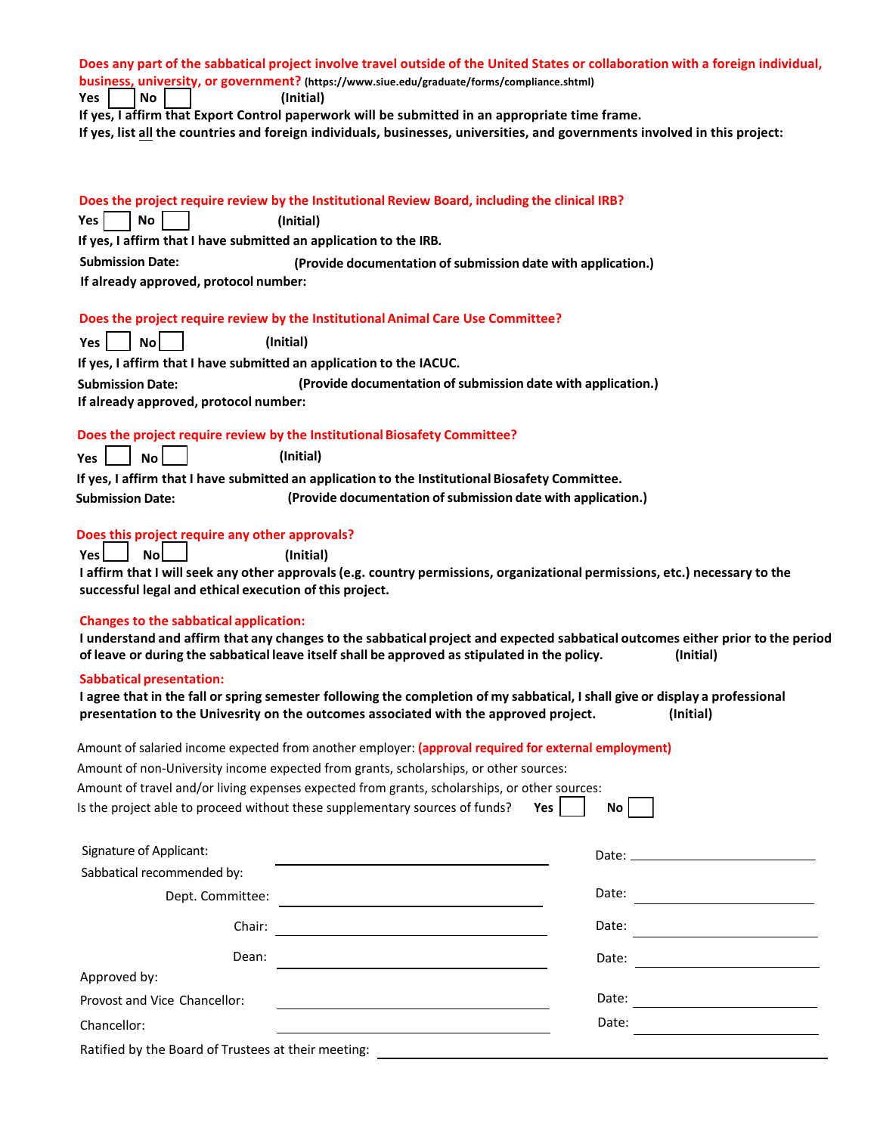| Yes<br>No                                                                   | Does any part of the sabbatical project involve travel outside of the United States or collaboration with a foreign individual,<br>business, university, or government? (https://www.siue.edu/graduate/forms/compliance.shtml)<br>(Initial)  |
|-----------------------------------------------------------------------------|----------------------------------------------------------------------------------------------------------------------------------------------------------------------------------------------------------------------------------------------|
|                                                                             | If yes, I affirm that Export Control paperwork will be submitted in an appropriate time frame.<br>If yes, list all the countries and foreign individuals, businesses, universities, and governments involved in this project:                |
| Yes  <br>No                                                                 | Does the project require review by the Institutional Review Board, including the clinical IRB?<br>(Initial)                                                                                                                                  |
| If yes, I affirm that I have submitted an application to the IRB.           |                                                                                                                                                                                                                                              |
| <b>Submission Date:</b><br>If already approved, protocol number:            | (Provide documentation of submission date with application.)                                                                                                                                                                                 |
| No <sub>l</sub><br>Yes l                                                    | Does the project require review by the Institutional Animal Care Use Committee?<br>(Initial)                                                                                                                                                 |
| If yes, I affirm that I have submitted an application to the IACUC.         |                                                                                                                                                                                                                                              |
| <b>Submission Date:</b><br>If already approved, protocol number:            | (Provide documentation of submission date with application.)                                                                                                                                                                                 |
| Yes<br>No <sub>1</sub>                                                      | Does the project require review by the Institutional Biosafety Committee?<br>(Initial)                                                                                                                                                       |
|                                                                             | If yes, I affirm that I have submitted an application to the Institutional Biosafety Committee.                                                                                                                                              |
| <b>Submission Date:</b>                                                     | (Provide documentation of submission date with application.)                                                                                                                                                                                 |
| Does this project require any other approvals?                              |                                                                                                                                                                                                                                              |
| <b>No</b><br>Yes<br>successful legal and ethical execution of this project. | (Initial)<br>I affirm that I will seek any other approvals (e.g. country permissions, organizational permissions, etc.) necessary to the                                                                                                     |
| <b>Changes to the sabbatical application:</b>                               | I understand and affirm that any changes to the sabbatical project and expected sabbatical outcomes either prior to the period<br>of leave or during the sabbatical leave itself shall be approved as stipulated in the policy.<br>(Initial) |
| <b>Sabbatical presentation:</b>                                             | I agree that in the fall or spring semester following the completion of my sabbatical, I shall give or display a professional<br>presentation to the Univesrity on the outcomes associated with the approved project.<br>(Initial)           |
|                                                                             | Amount of salaried income expected from another employer: (approval required for external employment)<br>Amount of non-University income expected from grants, scholarships, or other sources:                                               |
|                                                                             | Amount of travel and/or living expenses expected from grants, scholarships, or other sources:                                                                                                                                                |
|                                                                             | Is the project able to proceed without these supplementary sources of funds?<br>Yes  <br>No l                                                                                                                                                |
| Signature of Applicant:                                                     |                                                                                                                                                                                                                                              |
| Sabbatical recommended by:                                                  |                                                                                                                                                                                                                                              |
| Dept. Committee:                                                            | Date:<br><u> 1989 - Andrea State Barbara, politik e</u>                                                                                                                                                                                      |
| Chair:                                                                      | Date: $\qquad \qquad$                                                                                                                                                                                                                        |
| Dean:                                                                       |                                                                                                                                                                                                                                              |
| Approved by:                                                                |                                                                                                                                                                                                                                              |
| Provost and Vice Chancellor:                                                |                                                                                                                                                                                                                                              |
| Chancellor:                                                                 | Date:                                                                                                                                                                                                                                        |
|                                                                             |                                                                                                                                                                                                                                              |